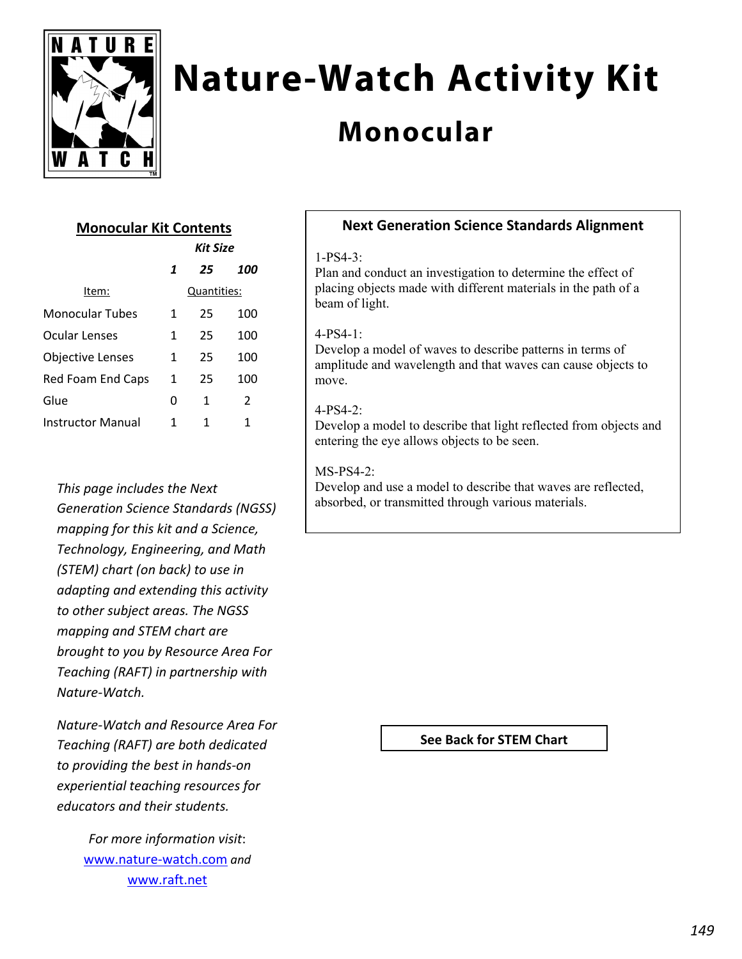

# **Nature-Watch Activity Kit**

# **Monocular**

## **Monocular Kit Contents**

|                          | Kit Size    |    |     |
|--------------------------|-------------|----|-----|
|                          | 1           | 25 | 100 |
| Item:                    | Quantities: |    |     |
| <b>Monocular Tubes</b>   | 1           | 25 | 100 |
| Ocular Lenses            | 1           | 25 | 100 |
| Objective Lenses         | 1           | 25 | 100 |
| Red Foam End Caps        | 1           | 25 | 100 |
| Glue                     | O           | 1  | 2   |
| <b>Instructor Manual</b> | 1           | 1  | 1   |

*This page includes the Next Generation Science Standards (NGSS) mapping for this kit and a Science, Technology, Engineering, and Math (STEM) chart (on back) to use in adapting and extending this activity to other subject areas. The NGSS mapping and STEM chart are brought to you by Resource Area For Teaching (RAFT) in partnership with Nature‐Watch.* 

*Nature‐Watch and Resource Area For Teaching (RAFT) are both dedicated to providing the best in hands‐on experiential teaching resources for educators and their students.*

> *For more information visit*: www.nature‐watch.com *and* www.raft.net

### **Next Generation Science Standards Alignment**

#### 1-PS4-3:

Plan and conduct an investigation to determine the effect of placing objects made with different materials in the path of a beam of light.

#### 4-PS4-1:

Develop a model of waves to describe patterns in terms of amplitude and wavelength and that waves can cause objects to move.

#### 4-PS4-2:

Develop a model to describe that light reflected from objects and entering the eye allows objects to be seen.

#### MS-PS4-2:

Develop and use a model to describe that waves are reflected, absorbed, or transmitted through various materials.

**See Back for STEM Chart**